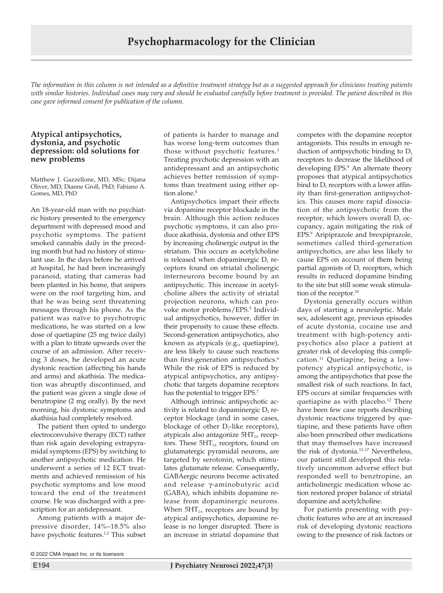*The information in this column is not intended as a definitive treatment strategy but as a suggested approach for clinicians treating patients with similar histories. Individual cases may vary and should be evaluated carefully before treatment is provided. The patient described in this case gave informed consent for publication of the column.*

## **Atypical antipsychotics, dystonia, and psychotic depression: old solutions for new problems**

Matthew J. Gazzellone, MD, MSc; Dijana Oliver, MD; Dianne Groll, PhD; Fabiano A. Gomes, MD, PhD

An 18-year-old man with no psychiatric history presented to the emergency department with depressed mood and psychotic symptoms. The patient smoked cannabis daily in the preceding month but had no history of stimulant use. In the days before he arrived at hospital, he had been increasingly paranoid, stating that cameras had been planted in his home, that snipers were on the roof targeting him, and that he was being sent threatening messages through his phone. As the patient was naïve to psychotropic medications, he was started on a low dose of quetiapine (25 mg twice daily) with a plan to titrate upwards over the course of an admission. After receiving 3 doses, he developed an acute dystonic reaction (affecting his hands and arms) and akathisia. The medication was abruptly discontinued, and the patient was given a single dose of benztropine (2 mg orally). By the next morning, his dystonic symptoms and akathisia had completely resolved.

The patient then opted to undergo electroconvulsive therapy (ECT) rather than risk again developing extrapyramidal symptoms (EPS) by switching to another antipsychotic medication. He underwent a series of 12 ECT treatments and achieved remission of his psychotic symptoms and low mood toward the end of the treatment course. He was discharged with a prescription for an antidepressant.

Among patients with a major depressive disorder, 14%–18.5% also have psychotic features.<sup>1,2</sup> This subset

of patients is harder to manage and has worse long-term outcomes than those without psychotic features.3 Treating psychotic depression with an antidepressant and an antipsychotic achieves better remission of symptoms than treatment using either option alone.<sup>4</sup>

Antipsychotics impart their effects via dopamine receptor blockade in the brain. Although this action reduces psychotic symptoms, it can also produce akathisia, dystonia and other EPS by increasing cholinergic output in the striatum. This occurs as acetylcholine is released when dopaminergic  $D_2$  receptors found on striatal cholinergic interneurons become bound by an antipsychotic. This increase in acetylcholine alters the activity of striatal projection neurons, which can provoke motor problems/EPS.<sup>5</sup> Individual antipsychotics, however, differ in their propensity to cause these effects. Second-generation antipsychotics, also known as atypicals (e.g., quetiapine), are less likely to cause such reactions than first-generation antipsychotics.<sup>6</sup> While the risk of EPS is reduced by atypical antipsychotics, any antipsychotic that targets dopamine receptors has the potential to trigger EPS.<sup>7</sup>

Although intrinsic antipsychotic activity is related to dopaminergic  $D_2$  receptor blockage (and in some cases, blockage of other  $D_2$ -like receptors), atypicals also antagonize  $5HT<sub>2A</sub>$  receptors. These  $5HT_{2A}$  receptors, found on glutamatergic pyramidal neurons, are targeted by serotonin, which stimulates glutamate release. Consequently, GABAergic neurons become activated and release γ-aminobutyric acid (GABA), which inhibits dopamine release from dopaminergic neurons. When  $5HT_{2A}$  receptors are bound by atypical antipsychotics, dopamine release is no longer disrupted. There is an increase in striatal dopamine that

competes with the dopamine receptor antagonists. This results in enough reduction of antipsychotic binding to  $D_2$ receptors to decrease the likelihood of developing EPS.8 An alternate theory proposes that atypical antipsychotics bind to  $D_2$  receptors with a lower affinity than first-generation antipsychotics. This causes more rapid dissociation of the antipsychotic from the receptor, which lowers overall  $D_2$  occupancy, again mitigating the risk of EPS.9 Aripiprazole and brexpiprazole, sometimes called third-generation antipsychotics, are also less likely to cause EPS on account of them being partial agonists of  $D_2$  receptors, which results in reduced dopamine binding to the site but still some weak stimulation of the receptor.<sup>10</sup>

Dystonia generally occurs within days of starting a neuroleptic. Male sex, adolescent age, previous episodes of acute dystonia, cocaine use and treatment with high-potency antipsychotics also place a patient at greater risk of developing this complication.11 Quetiapine, being a lowpotency atypical antipsychotic, is among the antipsychotics that pose the smallest risk of such reactions. In fact, EPS occurs at similar frequencies with quetiapine as with placebo.<sup>12</sup> There have been few case reports describing dystonic reactions triggered by quetiapine, and these patients have often also been prescribed other medications that may themselves have increased the risk of dystonia.13–17 Nevertheless, our patient still developed this relatively uncommon adverse effect but responded well to benztropine, an anticholinergic medication whose action restored proper balance of striatal dopamine and acetylcholine.

For patients presenting with psychotic features who are at an increased risk of developing dystonic reactions owing to the presence of risk factors or